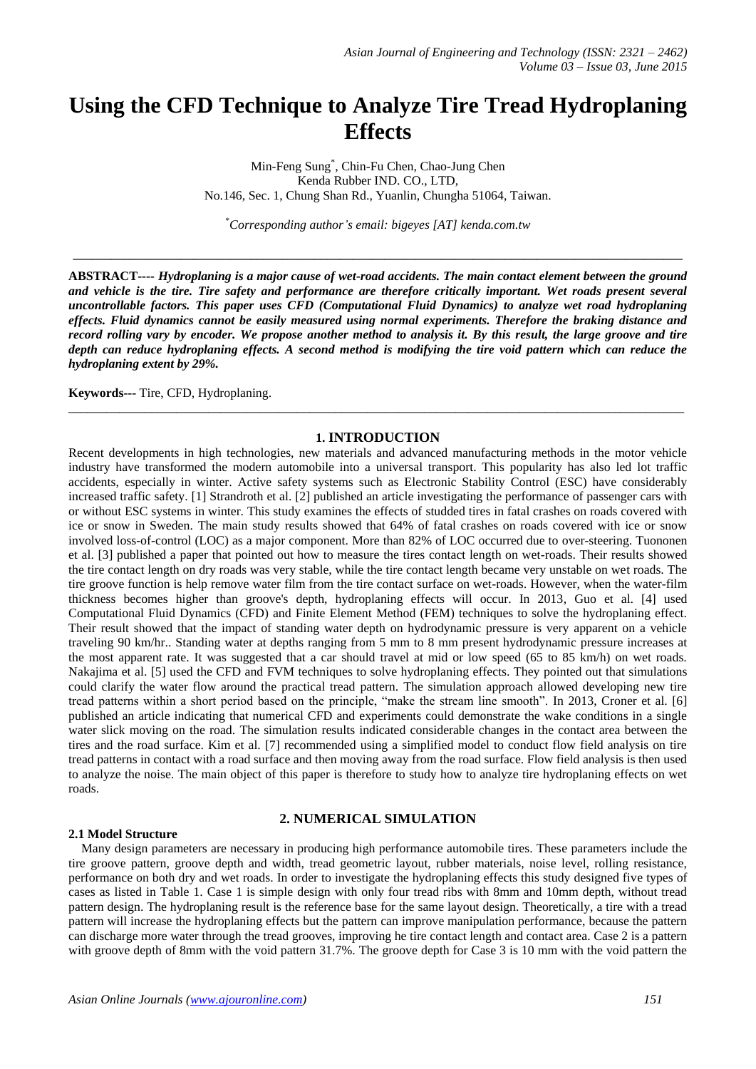# **Using the CFD Technique to Analyze Tire Tread Hydroplaning Effects**

Min-Feng Sung\* , Chin-Fu Chen, Chao-Jung Chen Kenda Rubber IND. CO., LTD, No.146, Sec. 1, Chung Shan Rd., Yuanlin, Chungha 51064, Taiwan.

\**Corresponding author's email: bigeyes [AT] kenda.com.tw*

**\_\_\_\_\_\_\_\_\_\_\_\_\_\_\_\_\_\_\_\_\_\_\_\_\_\_\_\_\_\_\_\_\_\_\_\_\_\_\_\_\_\_\_\_\_\_\_\_\_\_\_\_\_\_\_\_\_\_\_\_\_\_\_\_\_\_\_\_\_\_\_\_\_\_\_\_\_\_\_\_\_\_\_\_\_\_\_\_\_\_\_\_\_\_\_\_**

**ABSTRACT----** *Hydroplaning is a major cause of wet-road accidents. The main contact element between the ground*  and vehicle is the tire. Tire safety and performance are therefore critically important. Wet roads present several *uncontrollable factors. This paper uses CFD (Computational Fluid Dynamics) to analyze wet road hydroplaning effects. Fluid dynamics cannot be easily measured using normal experiments. Therefore the braking distance and record rolling vary by encoder. We propose another method to analysis it. By this result, the large groove and tire depth can reduce hydroplaning effects. A second method is modifying the tire void pattern which can reduce the hydroplaning extent by 29%.*

**Keywords---** Tire, CFD, Hydroplaning.

## **1. INTRODUCTION**

\_\_\_\_\_\_\_\_\_\_\_\_\_\_\_\_\_\_\_\_\_\_\_\_\_\_\_\_\_\_\_\_\_\_\_\_\_\_\_\_\_\_\_\_\_\_\_\_\_\_\_\_\_\_\_\_\_\_\_\_\_\_\_\_\_\_\_\_\_\_\_\_\_\_\_\_\_\_\_\_\_\_\_\_\_\_\_\_\_\_\_\_\_\_\_\_\_

Recent developments in high technologies, new materials and advanced manufacturing methods in the motor vehicle industry have transformed the modern automobile into a universal transport. This popularity has also led lot traffic accidents, especially in winter. Active safety systems such as Electronic Stability Control (ESC) have considerably increased traffic safety. [1] Strandroth et al. [2] published an article investigating the performance of passenger cars with or without ESC systems in winter. This study examines the effects of studded tires in fatal crashes on roads covered with ice or snow in Sweden. The main study results showed that 64% of fatal crashes on roads covered with ice or snow involved loss-of-control (LOC) as a major component. More than 82% of LOC occurred due to over-steering. Tuononen et al. [3] published a paper that pointed out how to measure the tires contact length on wet-roads. Their results showed the tire contact length on dry roads was very stable, while the tire contact length became very unstable on wet roads. The tire groove function is help remove water film from the tire contact surface on wet-roads. However, when the water-film thickness becomes higher than groove's depth, hydroplaning effects will occur. In 2013, Guo et al. [4] used Computational Fluid Dynamics (CFD) and Finite Element Method (FEM) techniques to solve the hydroplaning effect. Their result showed that the impact of standing water depth on hydrodynamic pressure is very apparent on a vehicle traveling 90 km/hr.. Standing water at depths ranging from 5 mm to 8 mm present hydrodynamic pressure increases at the most apparent rate. It was suggested that a car should travel at mid or low speed (65 to 85 km/h) on wet roads. Nakajima et al. [5] used the CFD and FVM techniques to solve hydroplaning effects. They pointed out that simulations could clarify the water flow around the practical tread pattern. The simulation approach allowed developing new tire tread patterns within a short period based on the principle, "make the stream line smooth". In 2013, Croner et al. [6] published an article indicating that numerical CFD and experiments could demonstrate the wake conditions in a single water slick moving on the road. The simulation results indicated considerable changes in the contact area between the tires and the road surface. Kim et al. [7] recommended using a simplified model to conduct flow field analysis on tire tread patterns in contact with a road surface and then moving away from the road surface. Flow field analysis is then used to analyze the noise. The main object of this paper is therefore to study how to analyze tire hydroplaning effects on wet roads.

# **2. NUMERICAL SIMULATION**

## **2.1 Model Structure**

Many design parameters are necessary in producing high performance automobile tires. These parameters include the tire groove pattern, groove depth and width, tread geometric layout, rubber materials, noise level, rolling resistance, performance on both dry and wet roads. In order to investigate the hydroplaning effects this study designed five types of cases as listed in Table 1. Case 1 is simple design with only four tread ribs with 8mm and 10mm depth, without tread pattern design. The hydroplaning result is the reference base for the same layout design. Theoretically, a tire with a tread pattern will increase the hydroplaning effects but the pattern can improve manipulation performance, because the pattern can discharge more water through the tread grooves, improving he tire contact length and contact area. Case 2 is a pattern with groove depth of 8mm with the void pattern 31.7%. The groove depth for Case 3 is 10 mm with the void pattern the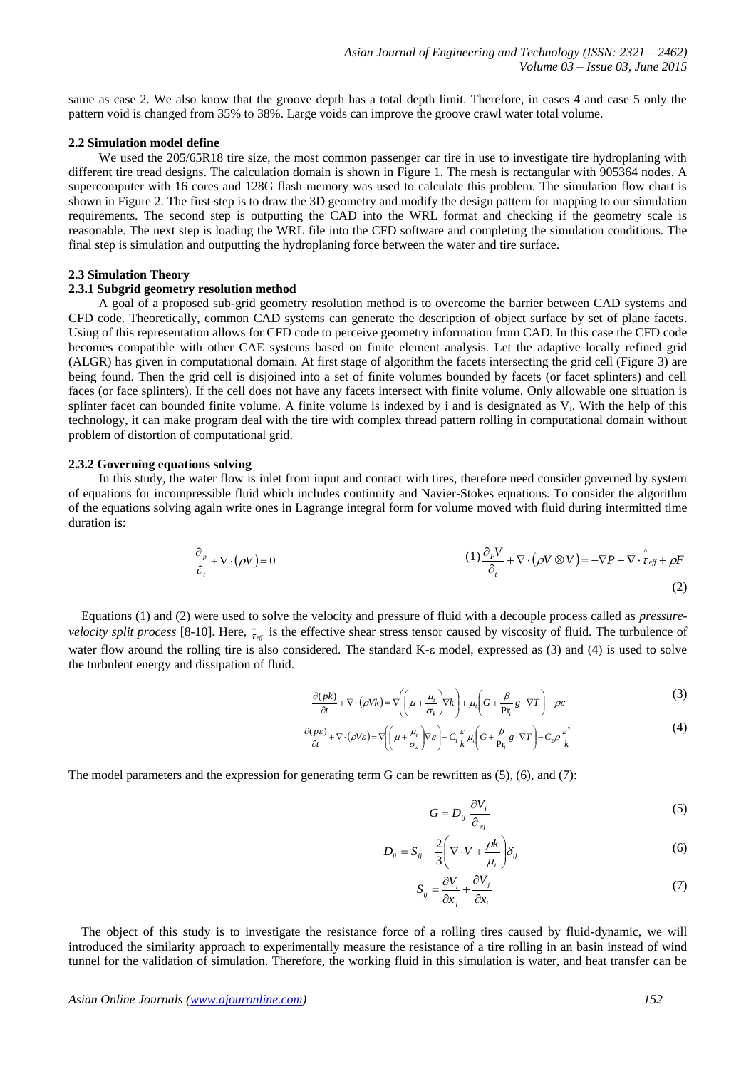same as case 2. We also know that the groove depth has a total depth limit. Therefore, in cases 4 and case 5 only the pattern void is changed from 35% to 38%. Large voids can improve the groove crawl water total volume.

#### **2.2 Simulation model define**

We used the 205/65R18 tire size, the most common passenger car tire in use to investigate tire hydroplaning with different tire tread designs. The calculation domain is shown in Figure 1. The mesh is rectangular with 905364 nodes. A supercomputer with 16 cores and 128G flash memory was used to calculate this problem. The simulation flow chart is shown in Figure 2. The first step is to draw the 3D geometry and modify the design pattern for mapping to our simulation requirements. The second step is outputting the CAD into the WRL format and checking if the geometry scale is reasonable. The next step is loading the WRL file into the CFD software and completing the simulation conditions. The final step is simulation and outputting the hydroplaning force between the water and tire surface.

## **2.3 Simulation Theory**

# **2.3.1 Subgrid geometry resolution method**

A goal of a proposed sub-grid geometry resolution method is to overcome the barrier between CAD systems and CFD code. Theoretically, common CAD systems can generate the description of object surface by set of plane facets. Using of this representation allows for CFD code to perceive geometry information from CAD. In this case the CFD code becomes compatible with other CAE systems based on finite element analysis. Let the adaptive locally refined grid (ALGR) has given in computational domain. At first stage of algorithm the facets intersecting the grid cell (Figure 3) are being found. Then the grid cell is disjoined into a set of finite volumes bounded by facets (or facet splinters) and cell faces (or face splinters). If the cell does not have any facets intersect with finite volume. Only allowable one situation is splinter facet can bounded finite volume. A finite volume is indexed by i and is designated as  $V_i$ . With the help of this technology, it can make program deal with the tire with complex thread pattern rolling in computational domain without problem of distortion of computational grid.

## **2.3.2 Governing equations solving**

In this study, the water flow is inlet from input and contact with tires, therefore need consider governed by system of equations for incompressible fluid which includes continuity and Navier-Stokes equations. To consider the algorithm of the equations solving again write ones in Lagrange integral form for volume moved with fluid during intermitted time duration is:

$$
\frac{\partial_{p}}{\partial_{t}} + \nabla \cdot (\rho V) = 0
$$
\n
$$
(1) \frac{\partial_{p} V}{\partial_{t}} + \nabla \cdot (\rho V \otimes V) = -\nabla P + \nabla \cdot \hat{\tau}_{\text{eff}} + \rho F
$$
\n
$$
(2)
$$

Equations (1) and (2) were used to solve the velocity and pressure of fluid with a decouple process called as *pressurevelocity split process* [8-10]. Here,  $\hat{t}_{\text{eff}}$  is the effective shear stress tensor caused by viscosity of fluid. The turbulence of water flow around the rolling tire is also considered. The standard K-ε model, expressed as (3) and (4) is used to solve the turbulent energy and dissipation of fluid.

$$
\frac{\partial (p k)}{\partial t} + \nabla \cdot (\rho V k) = \nabla \left( \left( \mu + \frac{\mu_t}{\sigma_k} \right) \nabla k \right) + \mu_t \left( G + \frac{\beta}{\mathbf{P} \mathbf{r}_t} g \cdot \nabla T \right) - \rho \varepsilon
$$
\n(3)

$$
\frac{\partial(\rho \varepsilon)}{\partial t} + \nabla \cdot (\rho V \varepsilon) = \nabla \left( \left( \mu + \frac{\mu_t}{\sigma_{\varepsilon}} \right) \nabla \varepsilon \right) + C_1 \frac{\varepsilon}{k} \mu_t \left( G + \frac{\beta}{\Pr_t} g \cdot \nabla T \right) - C_2 \rho \frac{\varepsilon^2}{k}
$$
\n(4)

The model parameters and the expression for generating term G can be rewritten as  $(5)$ ,  $(6)$ , and  $(7)$ :

$$
G = D_{ij} \frac{\partial V_i}{\partial_{xj}}
$$
 (5)

$$
D_{ij} = S_{ij} - \frac{2}{3} \left( \nabla \cdot V + \frac{\rho k}{\mu_i} \right) \delta_{ij}
$$
 (6)

$$
S_{ij} = \frac{\partial V_i}{\partial x_j} + \frac{\partial V_j}{\partial x_i}
$$
 (7)

The object of this study is to investigate the resistance force of a rolling tires caused by fluid-dynamic, we will introduced the similarity approach to experimentally measure the resistance of a tire rolling in an basin instead of wind tunnel for the validation of simulation. Therefore, the working fluid in this simulation is water, and heat transfer can be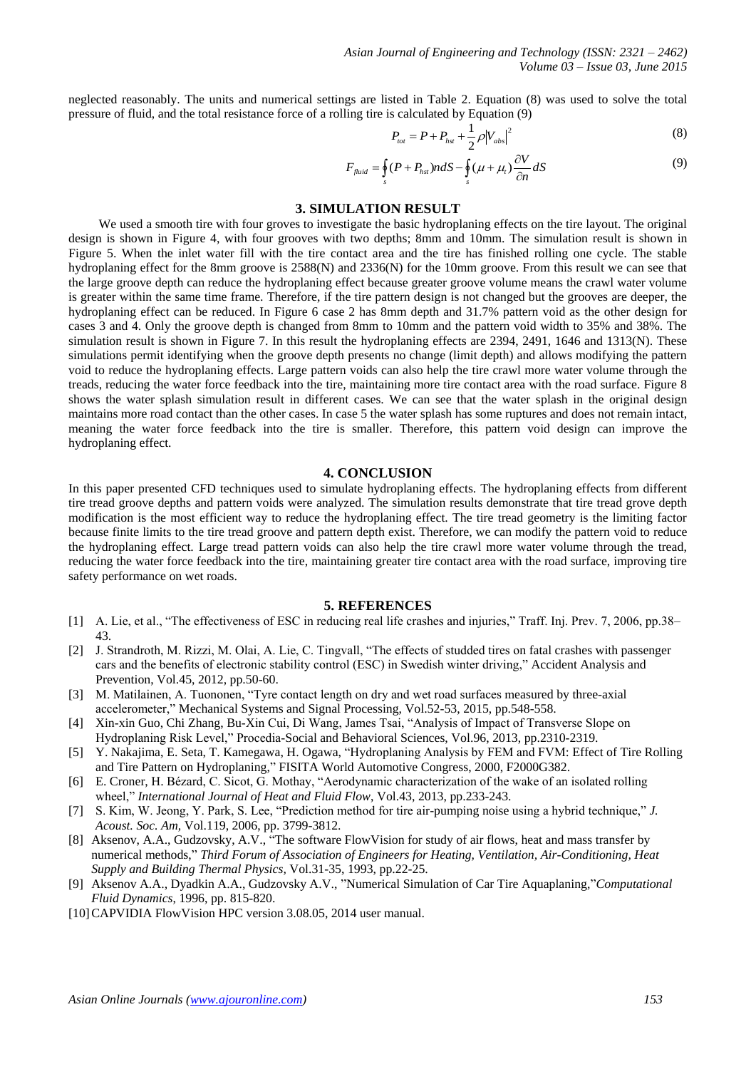neglected reasonably. The units and numerical settings are listed in Table 2. Equation (8) was used to solve the total pressure of fluid, and the total resistance force of a rolling tire is calculated by Equation (9)

$$
P_{tot} = P + P_{hst} + \frac{1}{2} \rho |V_{abs}|^2
$$
 (8)

$$
F_{\text{fluid}} = \oint_{s} (P + P_{\text{hs}}) n dS - \oint_{s} (\mu + \mu_{t}) \frac{\partial V}{\partial n} dS \tag{9}
$$

## **3. SIMULATION RESULT**

We used a smooth tire with four groves to investigate the basic hydroplaning effects on the tire layout. The original design is shown in Figure 4, with four grooves with two depths; 8mm and 10mm. The simulation result is shown in Figure 5. When the inlet water fill with the tire contact area and the tire has finished rolling one cycle. The stable hydroplaning effect for the 8mm groove is 2588(N) and 2336(N) for the 10mm groove. From this result we can see that the large groove depth can reduce the hydroplaning effect because greater groove volume means the crawl water volume is greater within the same time frame. Therefore, if the tire pattern design is not changed but the grooves are deeper, the hydroplaning effect can be reduced. In Figure 6 case 2 has 8mm depth and 31.7% pattern void as the other design for cases 3 and 4. Only the groove depth is changed from 8mm to 10mm and the pattern void width to 35% and 38%. The simulation result is shown in Figure 7. In this result the hydroplaning effects are 2394, 2491, 1646 and 1313(N). These simulations permit identifying when the groove depth presents no change (limit depth) and allows modifying the pattern void to reduce the hydroplaning effects. Large pattern voids can also help the tire crawl more water volume through the treads, reducing the water force feedback into the tire, maintaining more tire contact area with the road surface. Figure 8 shows the water splash simulation result in different cases. We can see that the water splash in the original design maintains more road contact than the other cases. In case 5 the water splash has some ruptures and does not remain intact, meaning the water force feedback into the tire is smaller. Therefore, this pattern void design can improve the hydroplaning effect.

#### **4. CONCLUSION**

In this paper presented CFD techniques used to simulate hydroplaning effects. The hydroplaning effects from different tire tread groove depths and pattern voids were analyzed. The simulation results demonstrate that tire tread grove depth modification is the most efficient way to reduce the hydroplaning effect. The tire tread geometry is the limiting factor because finite limits to the tire tread groove and pattern depth exist. Therefore, we can modify the pattern void to reduce the hydroplaning effect. Large tread pattern voids can also help the tire crawl more water volume through the tread, reducing the water force feedback into the tire, maintaining greater tire contact area with the road surface, improving tire safety performance on wet roads.

# **5. REFERENCES**

- [1] A. Lie, et al., "The effectiveness of ESC in reducing real life crashes and injuries," Traff. Inj. Prev. 7, 2006, pp.38– 43.
- [2] J. Strandroth, M. Rizzi, M. Olai, A. Lie, C. Tingvall, "The effects of studded tires on fatal crashes with passenger cars and the benefits of electronic stability control (ESC) in Swedish winter driving," Accident Analysis and Prevention, Vol.45, 2012, pp.50-60.
- [3] M. Matilainen, A. Tuononen, "Tyre contact length on dry and wet road surfaces measured by three-axial accelerometer," Mechanical Systems and Signal Processing, Vol.52-53, 2015, pp.548-558.
- [4] Xin-xin Guo, Chi Zhang, Bu-Xin Cui, Di Wang, James Tsai, "Analysis of Impact of Transverse Slope on Hydroplaning Risk Level," Procedia-Social and Behavioral Sciences, Vol.96, 2013, pp.2310-2319.
- [5] Y. Nakajima, E. Seta, T. Kamegawa, H. Ogawa, "Hydroplaning Analysis by FEM and FVM: Effect of Tire Rolling and Tire Pattern on Hydroplaning," FISITA World Automotive Congress, 2000, F2000G382.
- [6] E. Croner, H. Bézard, C. Sicot, G. Mothay, "Aerodynamic characterization of the wake of an isolated rolling wheel," *International Journal of Heat and Fluid Flow*, Vol.43, 2013, pp.233-243.
- [7] S. Kim, W. Jeong, Y. Park, S. Lee, "Prediction method for tire air-pumping noise using a hybrid technique," *J. Acoust. Soc. Am,* Vol.119, 2006, pp. 3799-3812.
- [8] Aksenov, A.A., Gudzovsky, A.V., "The software FlowVision for study of air flows, heat and mass transfer by numerical methods," *Third Forum of Association of Engineers for Heating, Ventilation, Air-Conditioning, Heat Supply and Building Thermal Physics,* Vol.31-35, 1993, pp.22-25.
- [9] Aksenov A.A., Dyadkin A.A., Gudzovsky A.V., "Numerical Simulation of Car Tire Aquaplaning,"*Computational Fluid Dynamics*, 1996, pp. 815-820.
- [10] CAPVIDIA FlowVision HPC version 3.08.05, 2014 user manual.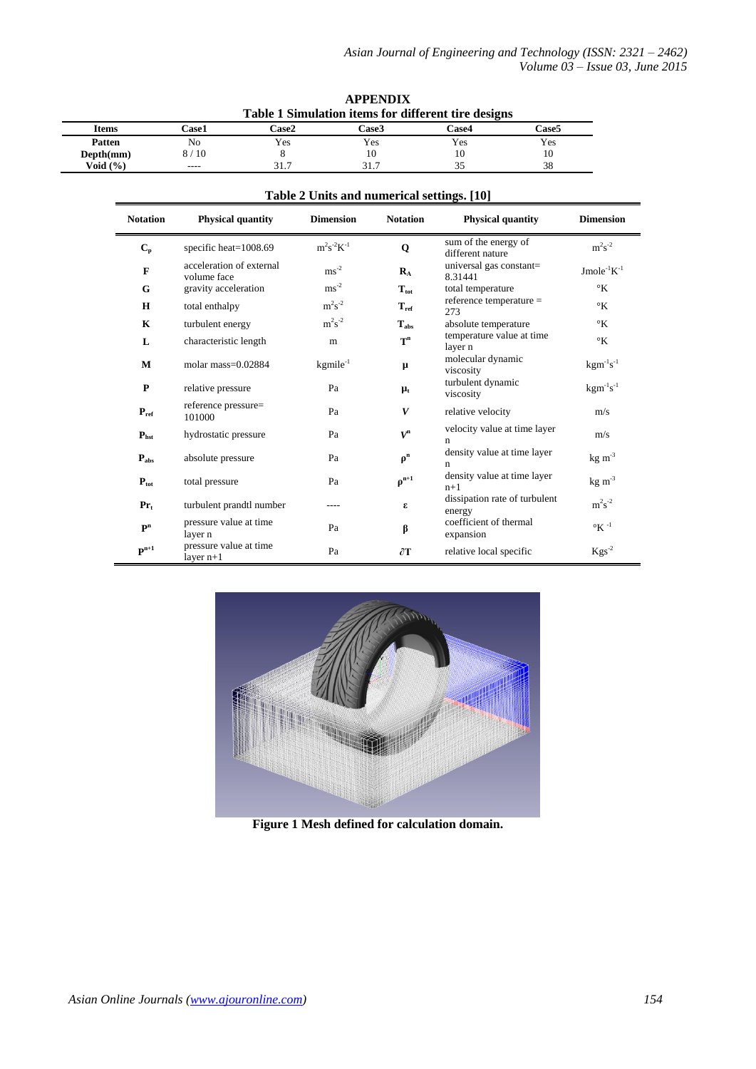|              |              | Table 1 Simulation items for different tire designs |              |            |              |  |  |
|--------------|--------------|-----------------------------------------------------|--------------|------------|--------------|--|--|
| <b>Items</b> | <b>Case1</b> | Case2                                               | <b>Case3</b> | ∑ase4      | <b>Case5</b> |  |  |
| Patten       | No           | Yes                                                 | Yes          | <b>Yes</b> | Yes          |  |  |
| Depth(mm)    | 8/10         |                                                     | 10           | 10         | 10           |  |  |
| Void $(\% )$ | ----         | 31.7                                                | 31.7         |            | 38           |  |  |

| Table 2 Units and numerical settings. [10] |                                         |                   |                           |                                          |                              |  |  |
|--------------------------------------------|-----------------------------------------|-------------------|---------------------------|------------------------------------------|------------------------------|--|--|
| <b>Notation</b>                            | <b>Physical quantity</b>                | <b>Dimension</b>  | <b>Notation</b>           | <b>Physical quantity</b>                 | <b>Dimension</b>             |  |  |
| $C_{p}$                                    | specific heat= $1008.69$                | $m^2s^{-2}K^{-1}$ | $\mathbf 0$               | sum of the energy of<br>different nature | $m^2s^{-2}$                  |  |  |
| $\mathbf F$                                | acceleration of external<br>volume face | $\text{ms}^{-2}$  | $\mathbf{R}_{\mathrm{A}}$ | universal gas constant=<br>8.31441       | Jmole <sup>-1</sup> $K^{-1}$ |  |  |
| G                                          | gravity acceleration                    | $\text{ms}^{-2}$  | $T_{\rm tot}$             | total temperature                        | $\rm ^{\circ}K$              |  |  |
| $\bf H$                                    | total enthalpy                          | $m^2s^{-2}$       | $T_{ref}$                 | reference temperature =<br>273           | $\rm ^{\circ}K$              |  |  |
| K                                          | turbulent energy                        | $m^2s^{-2}$       | $T_{\rm abs}$             | absolute temperature                     | $\rm ^{\circ}K$              |  |  |
| L                                          | characteristic length                   | m                 | $T^n$                     | temperature value at time<br>layer n     | $\mathcal{C}_{K}$            |  |  |
| M                                          | molar mass= $0.02884$                   | $kgmile^{-1}$     | $\mu$                     | molecular dynamic<br>viscosity           | $kgm^{-1}s^{-1}$             |  |  |
| $\mathbf P$                                | relative pressure                       | Pa                | $\mu_{t}$                 | turbulent dynamic<br>viscosity           | $kgm^{-1}s^{-1}$             |  |  |
| $P_{ref}$                                  | reference pressure=<br>101000           | Pa                | V                         | relative velocity                        | m/s                          |  |  |
| $P_{\text{hst}}$                           | hydrostatic pressure                    | Pa                | $V^{n}$                   | velocity value at time layer<br>n        | m/s                          |  |  |
| $P_{\rm abs}$                              | absolute pressure                       | Pa                | $\rho^n$                  | density value at time layer<br>n         | $kg \, \text{m}^{-3}$        |  |  |
| $P_{\text{tot}}$                           | total pressure                          | Pa                | $\rho^{n+1}$              | density value at time layer<br>$n+1$     | $kg \, \text{m}^{-3}$        |  |  |
| $Pr_t$                                     | turbulent prandtl number                | ----              | ε                         | dissipation rate of turbulent<br>energy  | $\rm m^2s^{\text{-}2}$       |  |  |
| $\mathbf{P}^n$                             | pressure value at time<br>layer n       | Pa                | β                         | coefficient of thermal<br>expansion      | $\circ$ K -1                 |  |  |
| $\mathbf{P}^{n+1}$                         | pressure value at time<br>layer $n+1$   | Pa                | $\partial$ T              | relative local specific                  | $Kgs^{-2}$                   |  |  |

**Table 2 Units and numerical settings. [10]**

**APPENDIX**



**Figure 1 Mesh defined for calculation domain.**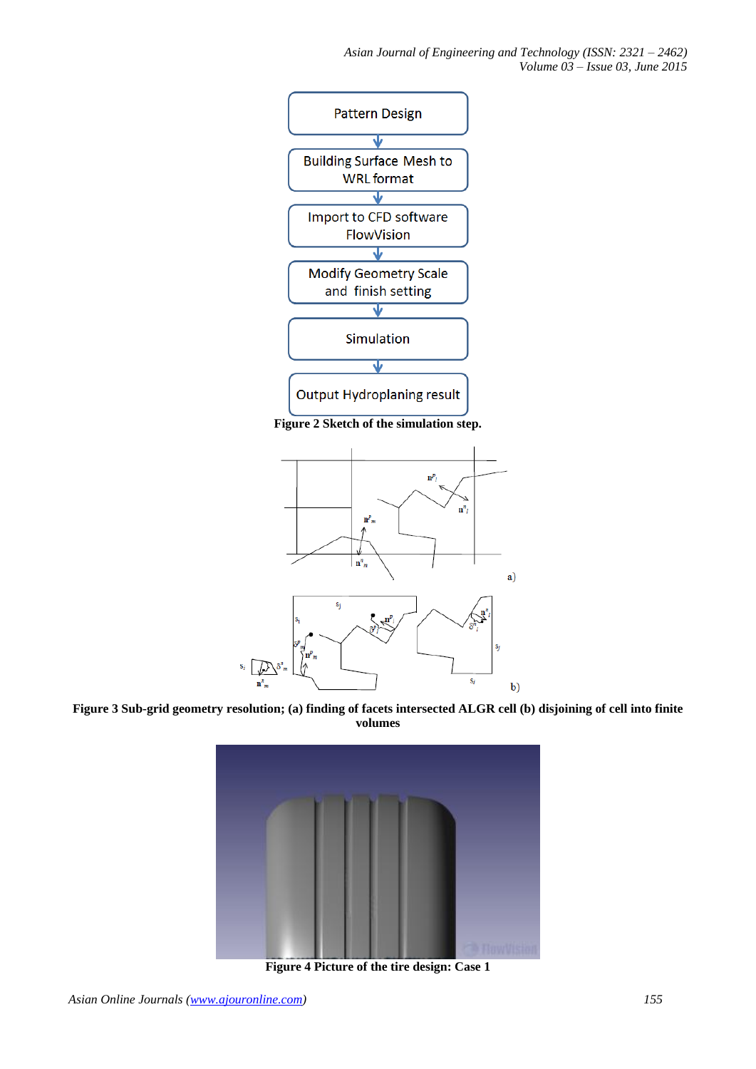*Asian Journal of Engineering and Technology (ISSN: 2321 – 2462) Volume 03 – Issue 03, June 2015*



**Figure 2 Sketch of the simulation step.**



**Figure 3 Sub-grid geometry resolution; (a) finding of facets intersected ALGR cell (b) disjoining of cell into finite volumes**



**Figure 4 Picture of the tire design: Case 1**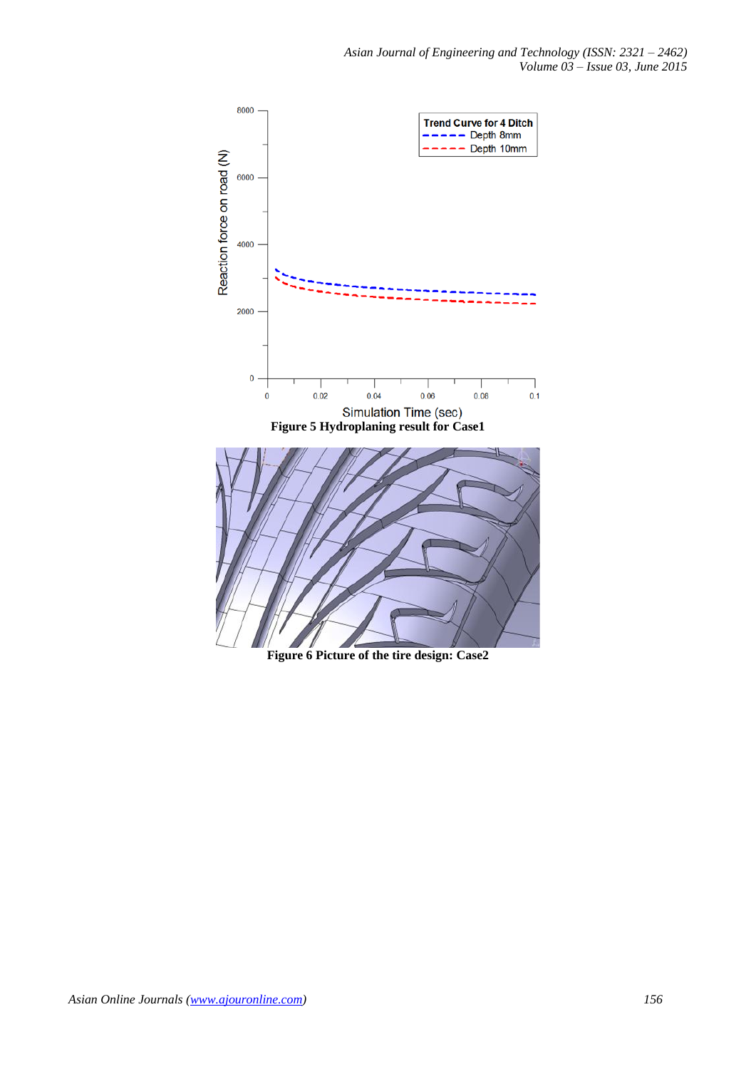

**Figure 6 Picture of the tire design: Case2**